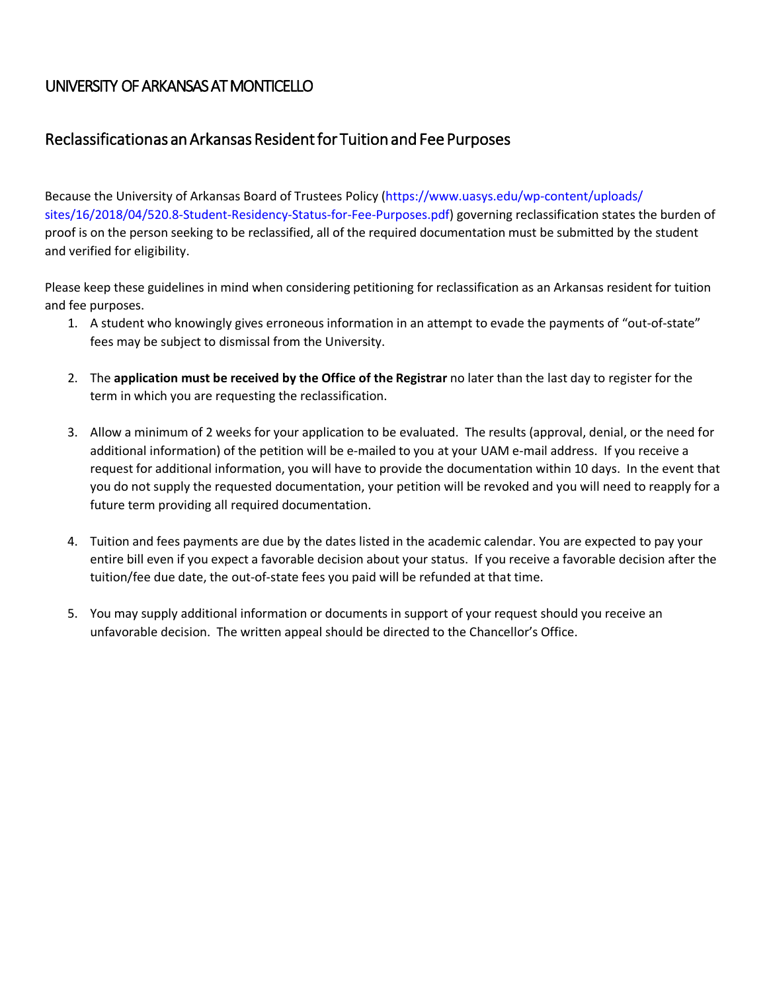### Reclassification as an Arkansas Resident for Tuition and Fee Purposes

 [sites/16/2018/04/520.8-Student-Residency-Status-for-Fee-Purposes.pdf](https://www.uasys.edu/wp-content/uploads/sites/16/2018/04/520.8-Student-Residency-Status-for-Fee-Purposes.pdf)) governing reclassification states the burden of Because the University of Arkansas Board of Trustees Policy (https://www.uasys.edu/wp-content/uploads/ proof is on the person seeking to be reclassified, all of the required documentation must be submitted by the student and verified for eligibility.

Please keep these guidelines in mind when considering petitioning for reclassification as an Arkansas resident for tuition and fee purposes.

- 1. A student who knowingly gives erroneous information in an attempt to evade the payments of "out-of-state" fees may be subject to dismissal from the University.
- term in which you are requesting the reclassification. 2. The **application must be received by the Office of the Registrar** no later than the last day to register for the
- 3. Allow a minimum of 2 weeks for your application to be evaluated. The results (approval, denial, or the need for request for additional information, you will have to provide the documentation within 10 days. In the event that additional information) of the petition will be e-mailed to you at your UAM e-mail address. If you receive a you do not supply the requested documentation, your petition will be revoked and you will need to reapply for a future term providing all required documentation.
- 4. Tuition and fees payments are due by the dates listed in the academic calendar. You are expected to pay your tuition/fee due date, the out-of-state fees you paid will be refunded at that time. entire bill even if you expect a favorable decision about your status. If you receive a favorable decision after the
- 5. You may supply additional information or documents in support of your request should you receive an unfavorable decision. The written appeal should be directed to the Chancellor's Office.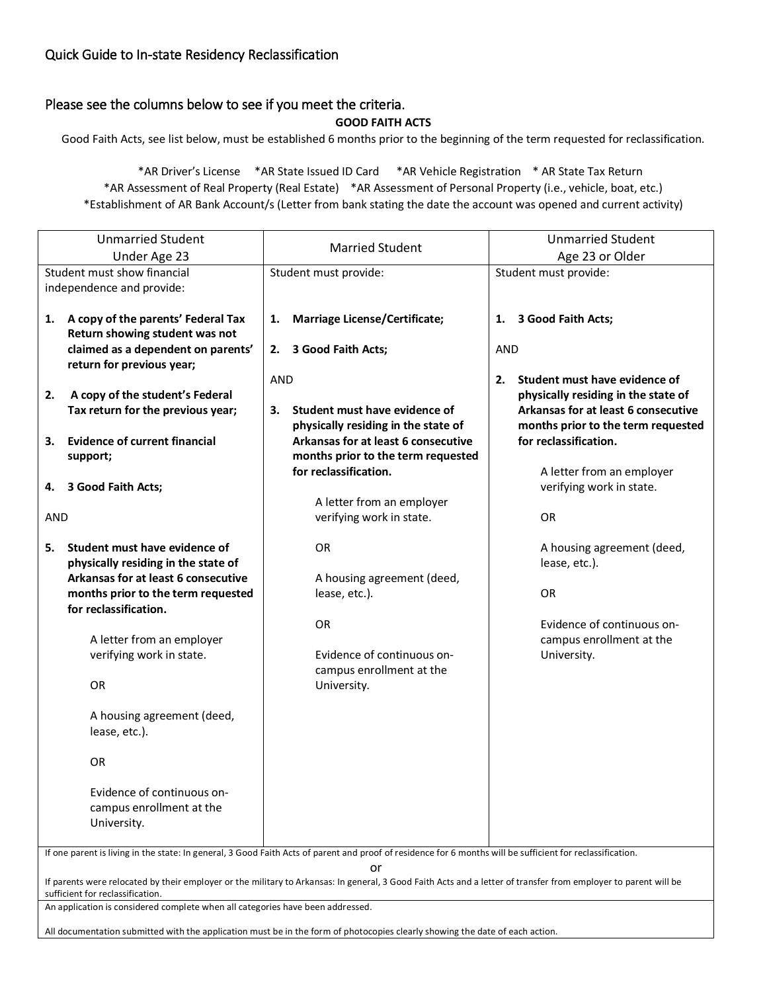### Quick Guide to In-state Residency Reclassification

### Please see the columns below to see if you meet the criteria.

**GOOD FAITH ACTS** 

Good Faith Acts, see list below, must be established 6 months prior to the beginning of the term requested for reclassification.

 \*AR Assessment of Real Property (Real Estate) \*AR Assessment of Personal Property (i.e., vehicle, boat, etc.) \*AR Driver's License \*AR State Issued ID Card \*AR Vehicle Registration \* AR State Tax Return \*Establishment of AR Bank Account/s (Letter from bank stating the date the account was opened and current activity)

| <b>Unmarried Student</b>                                 |                                                                                                                                                                                                           | <b>Married Student</b>                                                                                                                                     | <b>Unmarried Student</b>                              |  |
|----------------------------------------------------------|-----------------------------------------------------------------------------------------------------------------------------------------------------------------------------------------------------------|------------------------------------------------------------------------------------------------------------------------------------------------------------|-------------------------------------------------------|--|
| Under Age 23                                             |                                                                                                                                                                                                           |                                                                                                                                                            | Age 23 or Older<br>Student must provide:              |  |
| Student must show financial<br>independence and provide: |                                                                                                                                                                                                           | Student must provide:                                                                                                                                      |                                                       |  |
|                                                          |                                                                                                                                                                                                           |                                                                                                                                                            |                                                       |  |
|                                                          | 1. A copy of the parents' Federal Tax<br>Return showing student was not                                                                                                                                   | <b>Marriage License/Certificate;</b><br>1.                                                                                                                 | 3 Good Faith Acts;<br>1.                              |  |
|                                                          | claimed as a dependent on parents'<br>return for previous year;                                                                                                                                           | 2. 3 Good Faith Acts;                                                                                                                                      | <b>AND</b>                                            |  |
|                                                          |                                                                                                                                                                                                           | <b>AND</b>                                                                                                                                                 | Student must have evidence of<br>2.                   |  |
| 2.                                                       | A copy of the student's Federal                                                                                                                                                                           |                                                                                                                                                            | physically residing in the state of                   |  |
|                                                          | Tax return for the previous year;                                                                                                                                                                         | Student must have evidence of<br>З.                                                                                                                        | Arkansas for at least 6 consecutive                   |  |
|                                                          |                                                                                                                                                                                                           | physically residing in the state of                                                                                                                        | months prior to the term requested                    |  |
| 3.                                                       | <b>Evidence of current financial</b>                                                                                                                                                                      | Arkansas for at least 6 consecutive                                                                                                                        | for reclassification.                                 |  |
|                                                          | support;                                                                                                                                                                                                  | months prior to the term requested                                                                                                                         |                                                       |  |
|                                                          | 4. 3 Good Faith Acts;                                                                                                                                                                                     | for reclassification.                                                                                                                                      | A letter from an employer<br>verifying work in state. |  |
|                                                          |                                                                                                                                                                                                           | A letter from an employer                                                                                                                                  |                                                       |  |
| <b>AND</b>                                               |                                                                                                                                                                                                           | verifying work in state.                                                                                                                                   | OR                                                    |  |
| 5.                                                       | Student must have evidence of<br>physically residing in the state of                                                                                                                                      | OR                                                                                                                                                         | A housing agreement (deed,<br>lease, etc.).           |  |
|                                                          | Arkansas for at least 6 consecutive                                                                                                                                                                       | A housing agreement (deed,                                                                                                                                 |                                                       |  |
|                                                          | months prior to the term requested                                                                                                                                                                        | lease, etc.).                                                                                                                                              | OR                                                    |  |
|                                                          | for reclassification.                                                                                                                                                                                     |                                                                                                                                                            |                                                       |  |
|                                                          |                                                                                                                                                                                                           | OR                                                                                                                                                         | Evidence of continuous on-                            |  |
|                                                          | A letter from an employer                                                                                                                                                                                 |                                                                                                                                                            | campus enrollment at the                              |  |
|                                                          | verifying work in state.                                                                                                                                                                                  | Evidence of continuous on-                                                                                                                                 | University.                                           |  |
|                                                          |                                                                                                                                                                                                           | campus enrollment at the                                                                                                                                   |                                                       |  |
|                                                          | <b>OR</b>                                                                                                                                                                                                 | University.                                                                                                                                                |                                                       |  |
|                                                          | A housing agreement (deed,                                                                                                                                                                                |                                                                                                                                                            |                                                       |  |
|                                                          | lease, etc.).                                                                                                                                                                                             |                                                                                                                                                            |                                                       |  |
|                                                          | OR                                                                                                                                                                                                        |                                                                                                                                                            |                                                       |  |
|                                                          | Evidence of continuous on-                                                                                                                                                                                |                                                                                                                                                            |                                                       |  |
|                                                          | campus enrollment at the                                                                                                                                                                                  |                                                                                                                                                            |                                                       |  |
|                                                          | University.                                                                                                                                                                                               |                                                                                                                                                            |                                                       |  |
|                                                          |                                                                                                                                                                                                           |                                                                                                                                                            |                                                       |  |
|                                                          |                                                                                                                                                                                                           | If one parent is living in the state: In general, 3 Good Faith Acts of parent and proof of residence for 6 months will be sufficient for reclassification. |                                                       |  |
|                                                          | or<br>If parents were relocated by their employer or the military to Arkansas: In general, 3 Good Faith Acts and a letter of transfer from employer to parent will be<br>sufficient for reclassification. |                                                                                                                                                            |                                                       |  |
|                                                          | An application is considered complete when all categories have been addressed.                                                                                                                            |                                                                                                                                                            |                                                       |  |
|                                                          |                                                                                                                                                                                                           |                                                                                                                                                            |                                                       |  |

All documentation submitted with the application must be in the form of photocopies clearly showing the date of each action.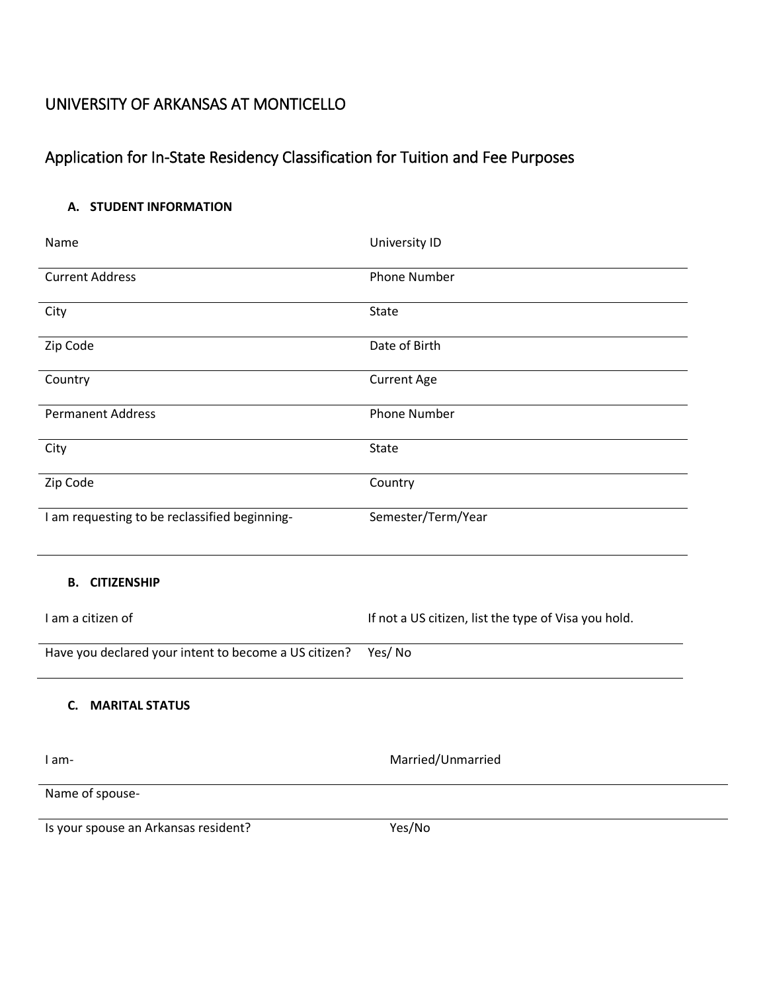# Application for In-State Residency Classification for Tuition and Fee Purposes

### **A. STUDENT INFORMATION**

| Name                                                  | <b>University ID</b>                                 |
|-------------------------------------------------------|------------------------------------------------------|
| <b>Current Address</b>                                | <b>Phone Number</b>                                  |
| City                                                  | <b>State</b>                                         |
| Zip Code                                              | Date of Birth                                        |
| Country                                               | <b>Current Age</b>                                   |
| <b>Permanent Address</b>                              | <b>Phone Number</b>                                  |
| City                                                  | <b>State</b>                                         |
| Zip Code                                              | Country                                              |
| I am requesting to be reclassified beginning-         | Semester/Term/Year                                   |
| <b>B.</b><br><b>CITIZENSHIP</b>                       |                                                      |
| I am a citizen of                                     | If not a US citizen, list the type of Visa you hold. |
| Have you declared your intent to become a US citizen? | Yes/No                                               |
| <b>MARITAL STATUS</b><br>C.                           |                                                      |
| I am-                                                 | Married/Unmarried                                    |
| Name of spouse-                                       |                                                      |
| Is your spouse an Arkansas resident?                  | Yes/No                                               |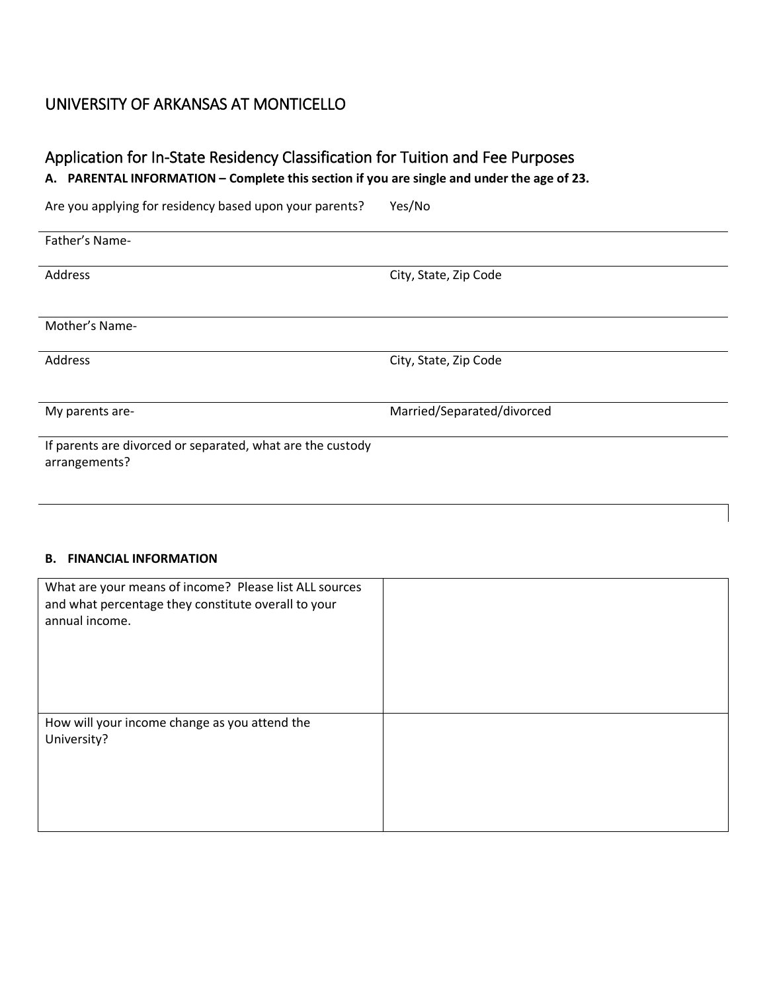### Application for In-State Residency Classification for Tuition and Fee Purposes

**A. PARENTAL INFORMATION – Complete this section if you are single and under the age of 23.** 

Are you applying for residency based upon your parents? Yes/No

| Father's Name-                                             |                            |
|------------------------------------------------------------|----------------------------|
| Address                                                    | City, State, Zip Code      |
|                                                            |                            |
| Mother's Name-                                             |                            |
|                                                            |                            |
| Address                                                    | City, State, Zip Code      |
|                                                            |                            |
| My parents are-                                            | Married/Separated/divorced |
|                                                            |                            |
| If parents are divorced or separated, what are the custody |                            |
| arrangements?                                              |                            |
|                                                            |                            |

#### **B. FINANCIAL INFORMATION**

| What are your means of income? Please list ALL sources<br>and what percentage they constitute overall to your<br>annual income. |  |
|---------------------------------------------------------------------------------------------------------------------------------|--|
| How will your income change as you attend the<br>University?                                                                    |  |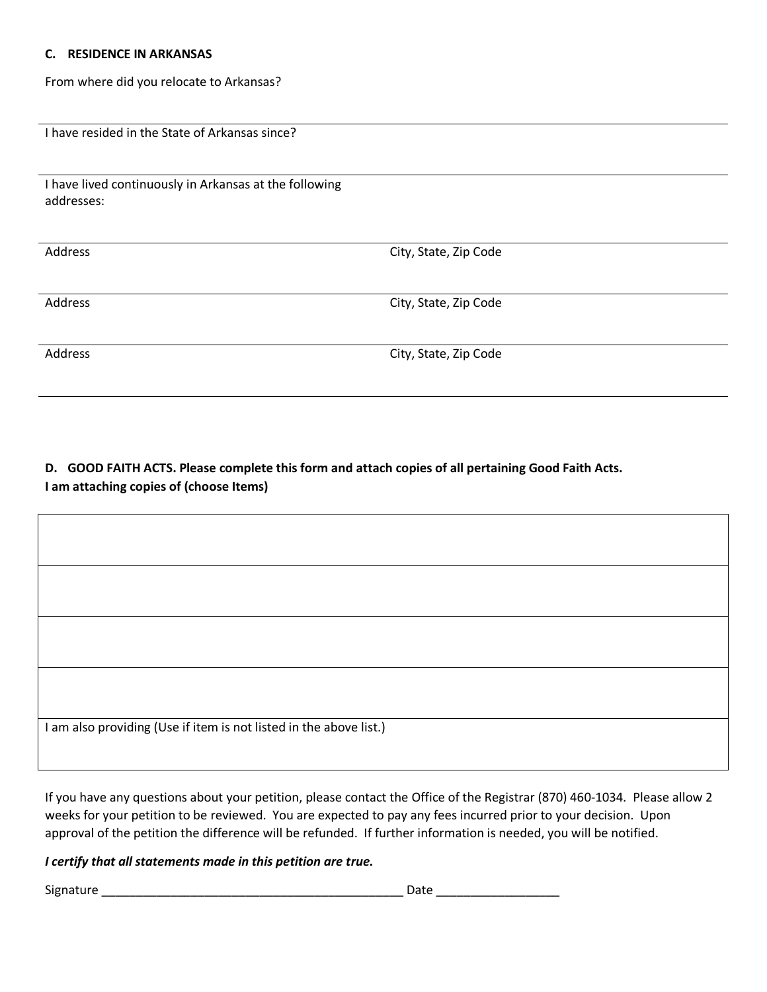#### **C. RESIDENCE IN ARKANSAS**

Г

From where did you relocate to Arkansas?

I have resided in the State of Arkansas since?

| I have lived continuously in Arkansas at the following |  |
|--------------------------------------------------------|--|
| addresses:                                             |  |

| Address | City, State, Zip Code |
|---------|-----------------------|
|         |                       |
|         |                       |
|         |                       |
|         |                       |
| Address | City, State, Zip Code |
|         |                       |
|         |                       |
|         |                       |
| Address | City, State, Zip Code |
|         |                       |
|         |                       |
|         |                       |

**D. GOOD FAITH ACTS. Please complete this form and attach copies of all pertaining Good Faith Acts. I am attaching copies of (choose Items)** 

| I am also providing (Use if item is not listed in the above list.) |
|--------------------------------------------------------------------|
|                                                                    |
|                                                                    |

 If you have any questions about your petition, please contact the Office of the Registrar (870) 460-1034. Please allow 2 weeks for your petition to be reviewed. You are expected to pay any fees incurred prior to your decision. Upon approval of the petition the difference will be refunded. If further information is needed, you will be notified.

### *I certify that all statements made in this petition are true.*

Signature \_\_\_\_\_\_\_\_\_\_\_\_\_\_\_\_\_\_\_\_\_\_\_\_\_\_\_\_\_\_\_\_\_\_\_\_\_\_\_\_\_\_\_\_ Date \_\_\_\_\_\_\_\_\_\_\_\_\_\_\_\_\_\_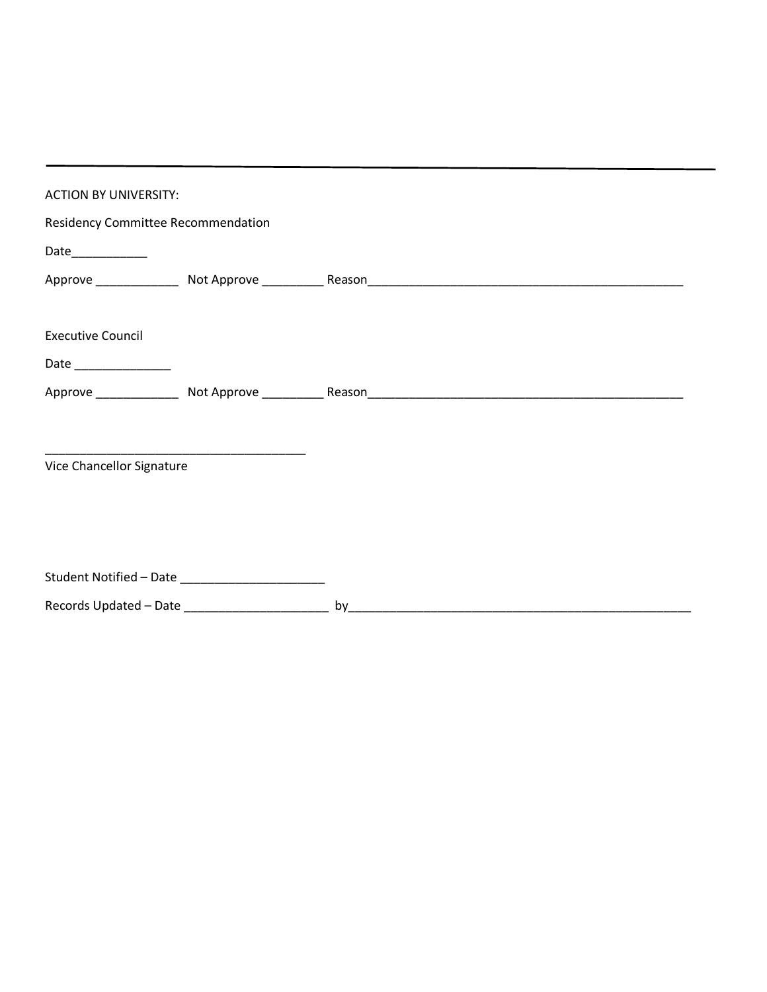| <b>ACTION BY UNIVERSITY:</b>       |                                                                                                     |  |  |
|------------------------------------|-----------------------------------------------------------------------------------------------------|--|--|
| Residency Committee Recommendation |                                                                                                     |  |  |
|                                    |                                                                                                     |  |  |
|                                    |                                                                                                     |  |  |
| <b>Executive Council</b>           |                                                                                                     |  |  |
| Date _______________               |                                                                                                     |  |  |
|                                    |                                                                                                     |  |  |
| Vice Chancellor Signature          |                                                                                                     |  |  |
|                                    | Student Notified - Date _______________________<br>Records Updated - Date _________________________ |  |  |